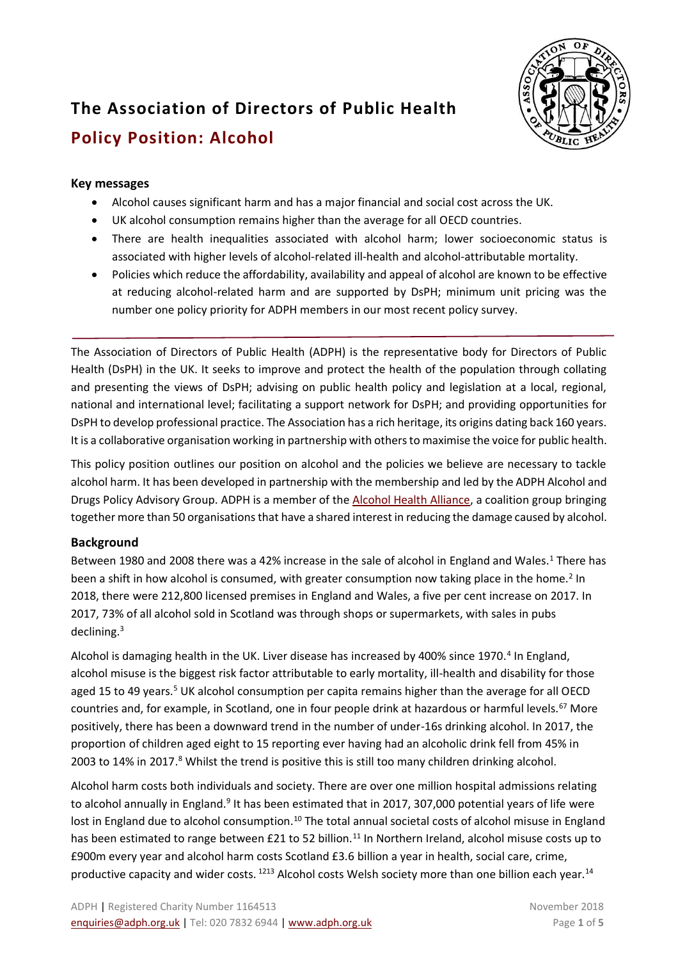

# **The Association of Directors of Public Health Policy Position: Alcohol**

# **Key messages**

- Alcohol causes significant harm and has a major financial and social cost across the UK.
- UK alcohol consumption remains higher than the average for all OECD countries.
- There are health inequalities associated with alcohol harm; lower socioeconomic status is associated with higher levels of alcohol-related ill-health and alcohol-attributable mortality.
- Policies which reduce the affordability, availability and appeal of alcohol are known to be effective at reducing alcohol-related harm and are supported by DsPH; minimum unit pricing was the number one policy priority for ADPH members in our most recent policy survey.

The Association of Directors of Public Health (ADPH) is the representative body for Directors of Public Health (DsPH) in the UK. It seeks to improve and protect the health of the population through collating and presenting the views of DsPH; advising on public health policy and legislation at a local, regional, national and international level; facilitating a support network for DsPH; and providing opportunities for DsPH to develop professional practice. The Association has a rich heritage, its origins dating back 160 years. It is a collaborative organisation working in partnership with others to maximise the voice for public health.

This policy position outlines our position on alcohol and the policies we believe are necessary to tackle alcohol harm. It has been developed in partnership with the membership and led by the ADPH Alcohol and Drugs Policy Advisory Group. ADPH is a member of the [Alcohol Health Alliance,](http://ahauk.org/) a coalition group bringing together more than 50 organisations that have a shared interest in reducing the damage caused by alcohol.

# **Background**

Between 1980 and 2008 there was a 42% increase in the sale of alcohol in England and Wales.<sup>1</sup> There has been a shift in how alcohol is consumed, with greater consumption now taking place in the home.<sup>2</sup> In 2018, there were 212,800 licensed premises in England and Wales, a five per cent increase on 2017. In 2017, 73% of all alcohol sold in Scotland was through shops or supermarkets, with sales in pubs declining.<sup>3</sup>

Alcohol is damaging health in the UK. Liver disease has increased by 400% since 1970.<sup>4</sup> In England, alcohol misuse is the biggest risk factor attributable to early mortality, ill-health and disability for those aged 15 to 49 years.<sup>5</sup> UK alcohol consumption per capita remains higher than the average for all OECD countries and, for example, in Scotland, one in four people drink at hazardous or harmful levels.<sup>67</sup> More positively, there has been a downward trend in the number of under-16s drinking alcohol. In 2017, the proportion of children aged eight to 15 reporting ever having had an alcoholic drink fell from 45% in 2003 to 14% in 2017.<sup>8</sup> Whilst the trend is positive this is still too many children drinking alcohol.

Alcohol harm costs both individuals and society. There are over one million hospital admissions relating to alcohol annually in England.<sup>9</sup> It has been estimated that in 2017, 307,000 potential years of life were lost in England due to alcohol consumption.<sup>10</sup> The total annual societal costs of alcohol misuse in England has been estimated to range between £21 to 52 billion.<sup>11</sup> In Northern Ireland, alcohol misuse costs up to £900m every year and alcohol harm costs Scotland £3.6 billion a year in health, social care, crime, productive capacity and wider costs. <sup>1213</sup> Alcohol costs Welsh society more than one billion each year.<sup>14</sup>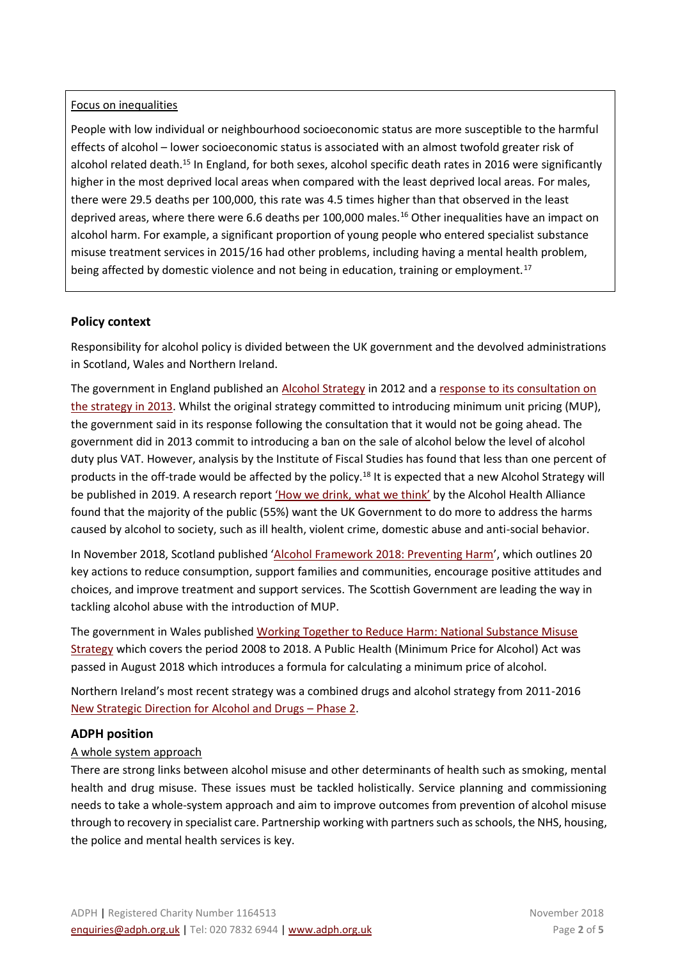#### Focus on inequalities

People with low individual or neighbourhood socioeconomic status are more susceptible to the harmful effects of alcohol – lower socioeconomic status is associated with an almost twofold greater risk of alcohol related death.<sup>15</sup> In England, for both sexes, alcohol specific death rates in 2016 were significantly higher in the most deprived local areas when compared with the least deprived local areas. For males, there were 29.5 deaths per 100,000, this rate was 4.5 times higher than that observed in the least deprived areas, where there were 6.6 deaths per 100,000 males.<sup>16</sup> Other inequalities have an impact on alcohol harm. For example, a significant proportion of young people who entered specialist substance misuse treatment services in 2015/16 had other problems, including having a mental health problem, being affected by domestic violence and not being in education, training or employment.<sup>17</sup>

# **Policy context**

Responsibility for alcohol policy is divided between the UK government and the devolved administrations in Scotland, Wales and Northern Ireland.

The government in England published an [Alcohol Strategy](https://www.gov.uk/government/publications/alcohol-strategy) in 2012 and a response to its consultation on [the strategy in 2013.](https://www.gov.uk/government/uploads/system/uploads/attachment_data/file/223773/Alcohol_consultation_response_report_v3.pdf) Whilst the original strategy committed to introducing minimum unit pricing (MUP), the government said in its response following the consultation that it would not be going ahead. The government did in 2013 commit to introducing a ban on the sale of alcohol below the level of alcohol duty plus VAT. However, analysis by the Institute of Fiscal Studies has found that less than one percent of products in the off-trade would be affected by the policy.<sup>18</sup> It is expected that a new Alcohol Strategy will be published in 2019. A research report ['How we drink, what we think'](http://12coez15v41j2cf7acjzaodh.wpengine.netdna-cdn.com/wp-content/uploads/2018/11/AHA_How-we-drink-what-we-think_2018_FINAL.pdf) by the Alcohol Health Alliance found that the majority of the public (55%) want the UK Government to do more to address the harms caused by alcohol to society, such as ill health, violent crime, domestic abuse and anti-social behavior.

In November 2018, Scotland published '[Alcohol Framework 2018: Preventing Harm](file:///C:/Users/LSutton/AppData/Local/Packages/Microsoft.MicrosoftEdge_8wekyb3d8bbwe/TempState/Downloads/ScotGov%20Alcohol%20strategy%20framework%20Nov%2019%202018%20(1).pdf)', which outlines 20 key actions to reduce consumption, support families and communities, encourage positive attitudes and choices, and improve treatment and support services. The Scottish Government are leading the way in tackling alcohol abuse with the introduction of MUP.

The government in Wales published [Working Together to Reduce Harm: National Substance Misuse](http://gov.wales/topics/people-and-communities/communities/safety/substancemisuse/publications/strategy0818/?lang=en)  [Strategy](http://gov.wales/topics/people-and-communities/communities/safety/substancemisuse/publications/strategy0818/?lang=en) which covers the period 2008 to 2018. A Public Health (Minimum Price for Alcohol) Act was passed in August 2018 which introduces a formula for calculating a minimum price of alcohol.

Northern Ireland's most recent strategy was a combined drugs and alcohol strategy from 2011-2016 [New Strategic Direction for Alcohol and Drugs](https://www.health-ni.gov.uk/publications/alcohol-and-drug-misuse-strategy-and-reports) – Phase 2.

# **ADPH position**

# A whole system approach

There are strong links between alcohol misuse and other determinants of health such as smoking, mental health and drug misuse. These issues must be tackled holistically. Service planning and commissioning needs to take a whole-system approach and aim to improve outcomes from prevention of alcohol misuse through to recovery in specialist care. Partnership working with partners such as schools, the NHS, housing, the police and mental health services is key.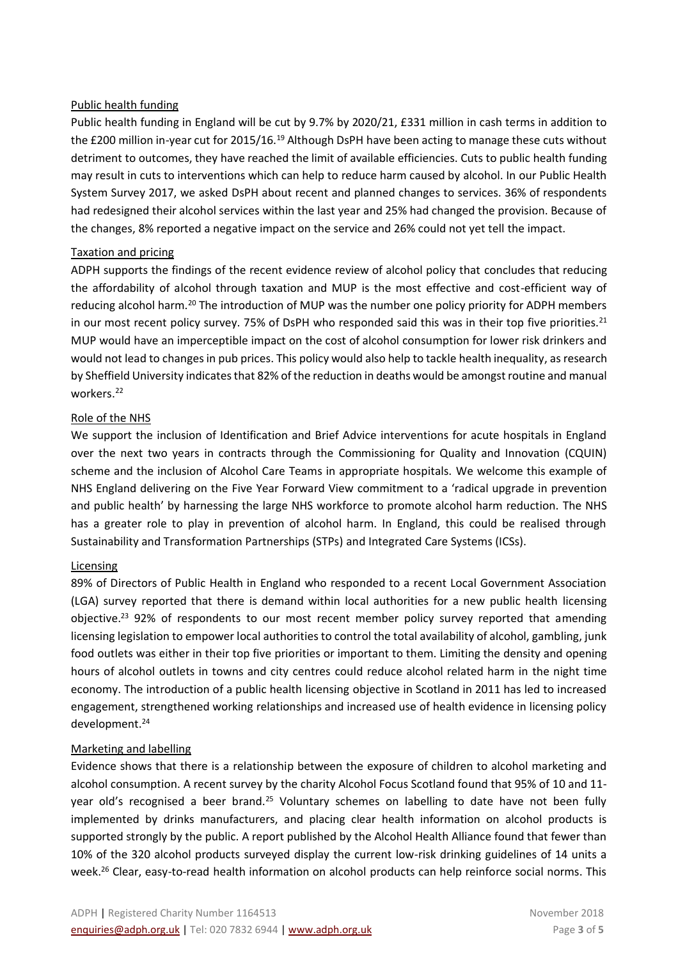#### Public health funding

Public health funding in England will be cut by 9.7% by 2020/21, £331 million in cash terms in addition to the £200 million in-year cut for 2015/16.<sup>19</sup> Although DsPH have been acting to manage these cuts without detriment to outcomes, they have reached the limit of available efficiencies. Cuts to public health funding may result in cuts to interventions which can help to reduce harm caused by alcohol. In our Public Health System Survey 2017, we asked DsPH about recent and planned changes to services. 36% of respondents had redesigned their alcohol services within the last year and 25% had changed the provision. Because of the changes, 8% reported a negative impact on the service and 26% could not yet tell the impact.

#### Taxation and pricing

ADPH supports the findings of the recent evidence review of alcohol policy that concludes that reducing the affordability of alcohol through taxation and MUP is the most effective and cost-efficient way of reducing alcohol harm.<sup>20</sup> The introduction of MUP was the number one policy priority for ADPH members in our most recent policy survey. 75% of DsPH who responded said this was in their top five priorities.<sup>21</sup> MUP would have an imperceptible impact on the cost of alcohol consumption for lower risk drinkers and would not lead to changesin pub prices. This policy would also help to tackle health inequality, as research by Sheffield University indicates that 82% of the reduction in deaths would be amongst routine and manual workers.<sup>22</sup>

#### Role of the NHS

We support the inclusion of Identification and Brief Advice interventions for acute hospitals in England over the next two years in contracts through the Commissioning for Quality and Innovation (CQUIN) scheme and the inclusion of Alcohol Care Teams in appropriate hospitals. We welcome this example of NHS England delivering on the Five Year Forward View commitment to a 'radical upgrade in prevention and public health' by harnessing the large NHS workforce to promote alcohol harm reduction. The NHS has a greater role to play in prevention of alcohol harm. In England, this could be realised through Sustainability and Transformation Partnerships (STPs) and Integrated Care Systems (ICSs).

#### Licensing

89% of Directors of Public Health in England who responded to a recent Local Government Association (LGA) survey reported that there is demand within local authorities for a new public health licensing objective.<sup>23</sup> 92% of respondents to our most recent member policy survey reported that amending licensing legislation to empower local authorities to control the total availability of alcohol, gambling, junk food outlets was either in their top five priorities or important to them. Limiting the density and opening hours of alcohol outlets in towns and city centres could reduce alcohol related harm in the night time economy. The introduction of a public health licensing objective in Scotland in 2011 has led to increased engagement, strengthened working relationships and increased use of health evidence in licensing policy development.<sup>24</sup>

#### Marketing and labelling

Evidence shows that there is a relationship between the exposure of children to alcohol marketing and alcohol consumption. A recent survey by the charity Alcohol Focus Scotland found that 95% of 10 and 11 year old's recognised a beer brand.<sup>25</sup> Voluntary schemes on labelling to date have not been fully implemented by drinks manufacturers, and placing clear health information on alcohol products is supported strongly by the public. A report published by the Alcohol Health Alliance found that fewer than 10% of the 320 alcohol products surveyed display the current low-risk drinking guidelines of 14 units a week.<sup>26</sup> Clear, easy-to-read health information on alcohol products can help reinforce social norms. This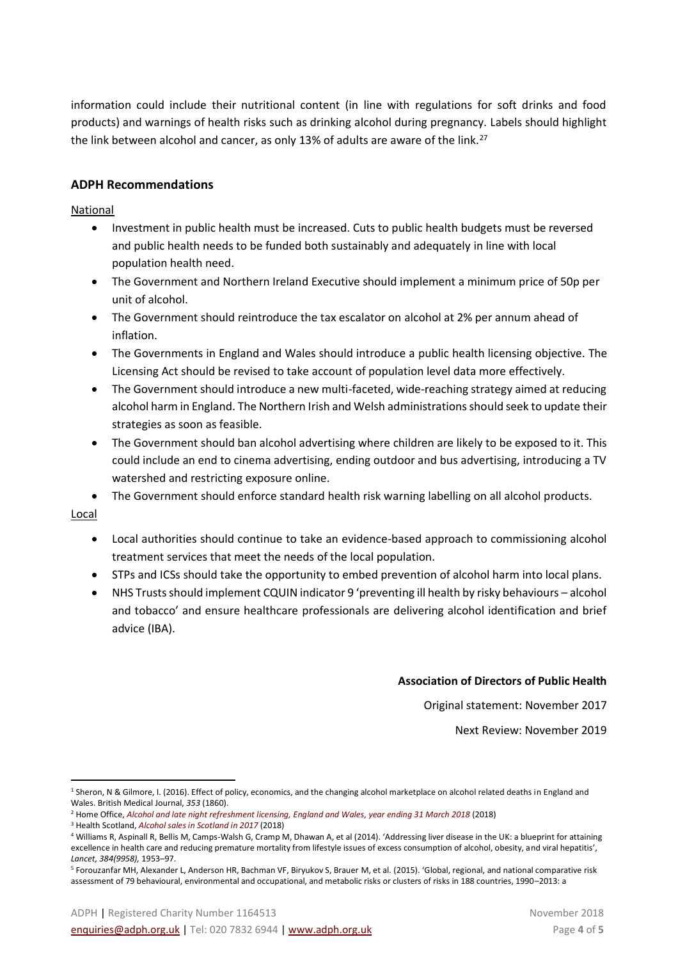information could include their nutritional content (in line with regulations for soft drinks and food products) and warnings of health risks such as drinking alcohol during pregnancy. Labels should highlight the link between alcohol and cancer, as only 13% of adults are aware of the link.<sup>27</sup>

# **ADPH Recommendations**

National

- Investment in public health must be increased. Cuts to public health budgets must be reversed and public health needs to be funded both sustainably and adequately in line with local population health need.
- The Government and Northern Ireland Executive should implement a minimum price of 50p per unit of alcohol.
- The Government should reintroduce the tax escalator on alcohol at 2% per annum ahead of inflation.
- The Governments in England and Wales should introduce a public health licensing objective. The Licensing Act should be revised to take account of population level data more effectively.
- The Government should introduce a new multi-faceted, wide-reaching strategy aimed at reducing alcohol harm in England. The Northern Irish and Welsh administrations should seek to update their strategies as soon as feasible.
- The Government should ban alcohol advertising where children are likely to be exposed to it. This could include an end to cinema advertising, ending outdoor and bus advertising, introducing a TV watershed and restricting exposure online.
- The Government should enforce standard health risk warning labelling on all alcohol products.

Local

 $\overline{a}$ 

- Local authorities should continue to take an evidence-based approach to commissioning alcohol treatment services that meet the needs of the local population.
- STPs and ICSs should take the opportunity to embed prevention of alcohol harm into local plans.
- NHS Trusts should implement CQUIN indicator 9 'preventing ill health by risky behaviours alcohol and tobacco' and ensure healthcare professionals are delivering alcohol identification and brief advice (IBA).

#### **Association of Directors of Public Health**

Original statement: November 2017

Next Review: November 2019

<sup>1</sup> Sheron, N & Gilmore, I. (2016). Effect of policy, economics, and the changing alcohol marketplace on alcohol related deaths in England and Wales. British Medical Journal, *353* (1860).

<sup>2</sup> Home Office, *Alcohol and late night refreshment licensing, [England and Wales, year ending 31 March 2018](https://assets.publishing.service.gov.uk/government/uploads/system/uploads/attachment_data/file/750830/alcohol-late-night-refreshment-licensing-2018-hosb2318.pdf)* (2018)

<sup>3</sup> Health Scotland, *[Alcohol sales in Scotland in 2017](http://www.healthscotland.scot/media/1872/alcohol-sales-in-scotland-2017.pdf)* (2018)

<sup>4</sup> Williams R, Aspinall R, Bellis M, Camps-Walsh G, Cramp M, Dhawan A, et al (2014). 'Addressing liver disease in the UK: a blueprint for attaining excellence in health care and reducing premature mortality from lifestyle issues of excess consumption of alcohol, obesity, and viral hepatitis', *Lancet, 384(9958),* 1953–97.

<sup>5</sup> Forouzanfar MH, Alexander L, Anderson HR, Bachman VF, Biryukov S, Brauer M, et al. (2015). 'Global, regional, and national comparative risk assessment of 79 behavioural, environmental and occupational, and metabolic risks or clusters of risks in 188 countries, 1990–2013: a